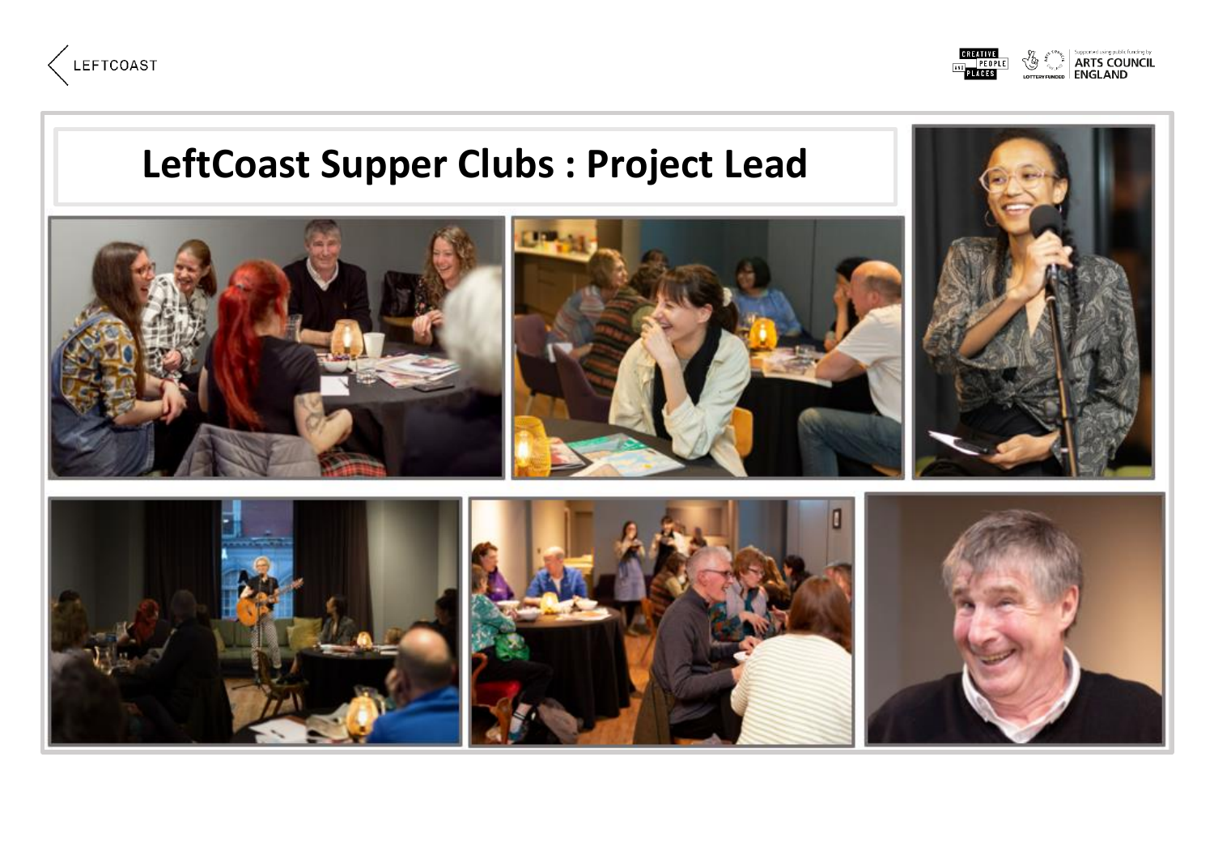